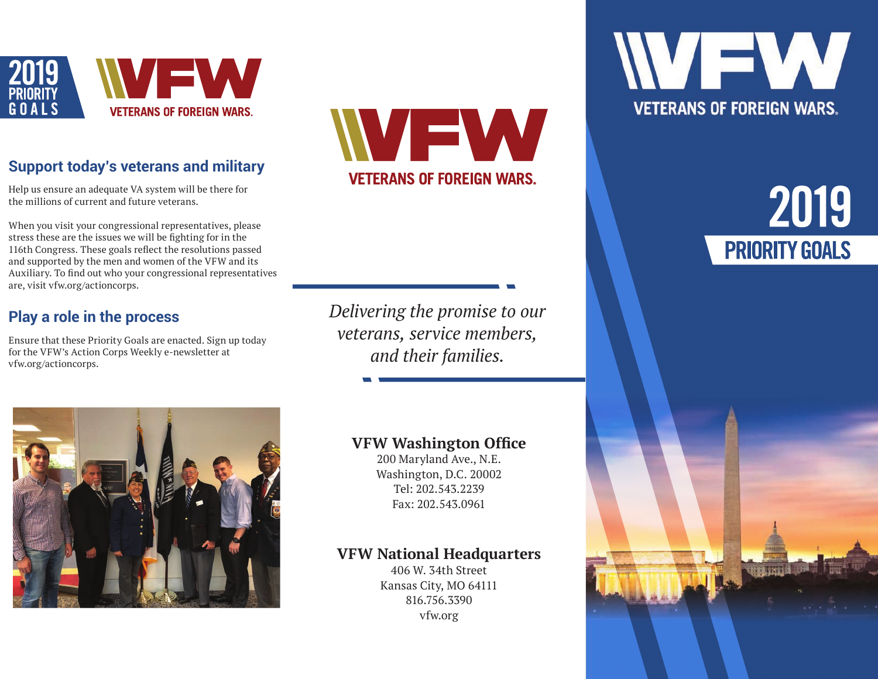

## **Support today's veterans and military**

Help us ensure an adequate VA system will be there for the millions of current and future veterans.

When you visit your congressional representatives, please stress these are the issues we will be fighting for in the 116th Congress. These goals reflect the resolutions passed and supported by the men and women of the VFW and its Auxiliary. To find out who your congressional representatives are, visit vfw.org/actioncorps.

## **Play a role in the process**

Ensure that these Priority Goals are enacted. Sign up today for the VFW's Action Corps Weekly e-newsletter at vfw.org/actioncorps.

VEW **VETERANS OF FOREIGN WARS.** 

*Delivering the promise to our veterans, service members, and their families.*



200 Maryland Ave., N.E. Washington, D.C. 20002 Tel: 202.543.2239 Fax: 202.543.0961

### **VFW National Headquarters**

406 W. 34th Street Kansas City, MO 64111 816.756.3390 vfw.org



# 2019 **PRIORITY GOALS**

**WARREN** 



## **VFW Washington Office**